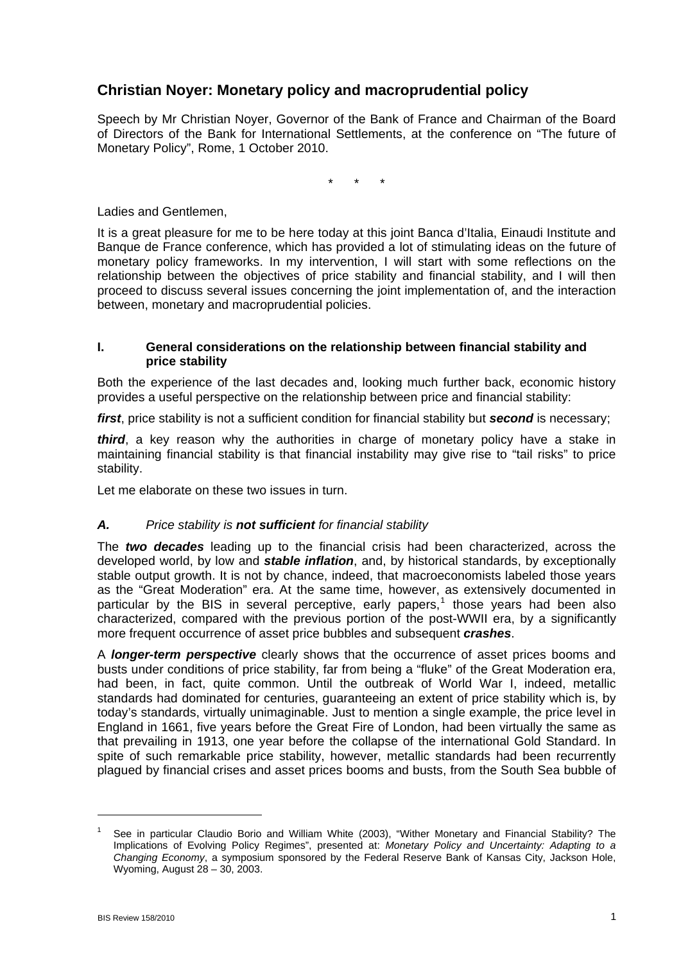# **Christian Noyer: Monetary policy and macroprudential policy**

Speech by Mr Christian Noyer, Governor of the Bank of France and Chairman of the Board of Directors of the Bank for International Settlements, at the conference on "The future of Monetary Policy", Rome, 1 October 2010.

\* \* \*

Ladies and Gentlemen,

It is a great pleasure for me to be here today at this joint Banca d'Italia, Einaudi Institute and Banque de France conference, which has provided a lot of stimulating ideas on the future of monetary policy frameworks. In my intervention, I will start with some reflections on the relationship between the objectives of price stability and financial stability, and I will then proceed to discuss several issues concerning the joint implementation of, and the interaction between, monetary and macroprudential policies.

#### **I. General considerations on the relationship between financial stability and price stability**

Both the experience of the last decades and, looking much further back, economic history provides a useful perspective on the relationship between price and financial stability:

*first*, price stability is not a sufficient condition for financial stability but *second* is necessary;

*third*, a key reason why the authorities in charge of monetary policy have a stake in maintaining financial stability is that financial instability may give rise to "tail risks" to price stability.

Let me elaborate on these two issues in turn.

## *A. Price stability is not sufficient for financial stability*

The *two decades* leading up to the financial crisis had been characterized, across the developed world, by low and *stable inflation*, and, by historical standards, by exceptionally stable output growth. It is not by chance, indeed, that macroeconomists labeled those years as the "Great Moderation" era. At the same time, however, as extensively documented in particular by the BIS in several perceptive, early papers,<sup>[1](#page-0-0)</sup> those years had been also characterized, compared with the previous portion of the post-WWII era, by a significantly more frequent occurrence of asset price bubbles and subsequent *crashes*.

A *longer-term perspective* clearly shows that the occurrence of asset prices booms and busts under conditions of price stability, far from being a "fluke" of the Great Moderation era, had been, in fact, quite common. Until the outbreak of World War I, indeed, metallic standards had dominated for centuries, guaranteeing an extent of price stability which is, by today's standards, virtually unimaginable. Just to mention a single example, the price level in England in 1661, five years before the Great Fire of London, had been virtually the same as that prevailing in 1913, one year before the collapse of the international Gold Standard. In spite of such remarkable price stability, however, metallic standards had been recurrently plagued by financial crises and asset prices booms and busts, from the South Sea bubble of

<span id="page-0-0"></span><sup>1</sup> See in particular Claudio Borio and William White (2003), "Wither Monetary and Financial Stability? The Implications of Evolving Policy Regimes", presented at: *Monetary Policy and Uncertainty: Adapting to a Changing Economy*, a symposium sponsored by the Federal Reserve Bank of Kansas City, Jackson Hole, Wyoming, August 28 – 30, 2003.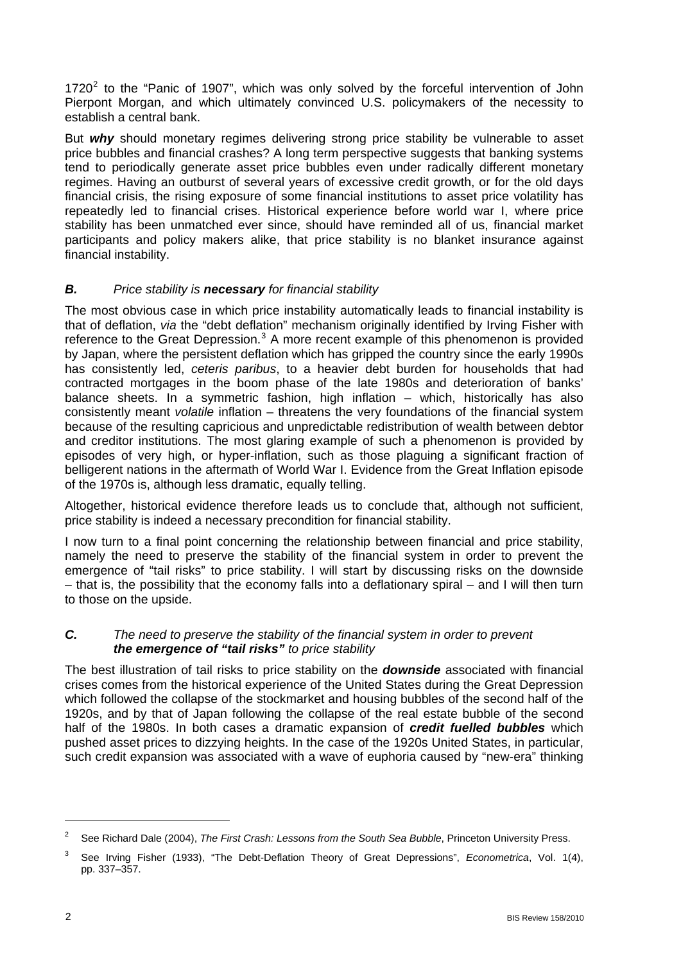17[2](#page-1-0)0 $^2$  to the "Panic of 1907", which was only solved by the forceful intervention of John Pierpont Morgan, and which ultimately convinced U.S. policymakers of the necessity to establish a central bank.

But *why* should monetary regimes delivering strong price stability be vulnerable to asset price bubbles and financial crashes? A long term perspective suggests that banking systems tend to periodically generate asset price bubbles even under radically different monetary regimes. Having an outburst of several years of excessive credit growth, or for the old days financial crisis, the rising exposure of some financial institutions to asset price volatility has repeatedly led to financial crises. Historical experience before world war I, where price stability has been unmatched ever since, should have reminded all of us, financial market participants and policy makers alike, that price stability is no blanket insurance against financial instability.

# *B. Price stability is necessary for financial stability*

The most obvious case in which price instability automatically leads to financial instability is that of deflation, *via* the "debt deflation" mechanism originally identified by Irving Fisher with reference to the Great Depression.<sup>[3](#page-1-1)</sup> A more recent example of this phenomenon is provided by Japan, where the persistent deflation which has gripped the country since the early 1990s has consistently led, *ceteris paribus*, to a heavier debt burden for households that had contracted mortgages in the boom phase of the late 1980s and deterioration of banks' balance sheets. In a symmetric fashion, high inflation – which, historically has also consistently meant *volatile* inflation – threatens the very foundations of the financial system because of the resulting capricious and unpredictable redistribution of wealth between debtor and creditor institutions. The most glaring example of such a phenomenon is provided by episodes of very high, or hyper-inflation, such as those plaguing a significant fraction of belligerent nations in the aftermath of World War I. Evidence from the Great Inflation episode of the 1970s is, although less dramatic, equally telling.

Altogether, historical evidence therefore leads us to conclude that, although not sufficient, price stability is indeed a necessary precondition for financial stability.

I now turn to a final point concerning the relationship between financial and price stability, namely the need to preserve the stability of the financial system in order to prevent the emergence of "tail risks" to price stability. I will start by discussing risks on the downside – that is, the possibility that the economy falls into a deflationary spiral – and I will then turn to those on the upside.

## *C. The need to preserve the stability of the financial system in order to prevent the emergence of "tail risks" to price stability*

The best illustration of tail risks to price stability on the *downside* associated with financial crises comes from the historical experience of the United States during the Great Depression which followed the collapse of the stockmarket and housing bubbles of the second half of the 1920s, and by that of Japan following the collapse of the real estate bubble of the second half of the 1980s. In both cases a dramatic expansion of *credit fuelled bubbles* which pushed asset prices to dizzying heights. In the case of the 1920s United States, in particular, such credit expansion was associated with a wave of euphoria caused by "new-era" thinking

<span id="page-1-0"></span><sup>2</sup> See Richard Dale (2004), *The First Crash: Lessons from the South Sea Bubble*, Princeton University Press.

<span id="page-1-1"></span><sup>3</sup> See Irving Fisher (1933), "The Debt-Deflation Theory of Great Depressions", *Econometrica*, Vol. 1(4), pp. 337–357.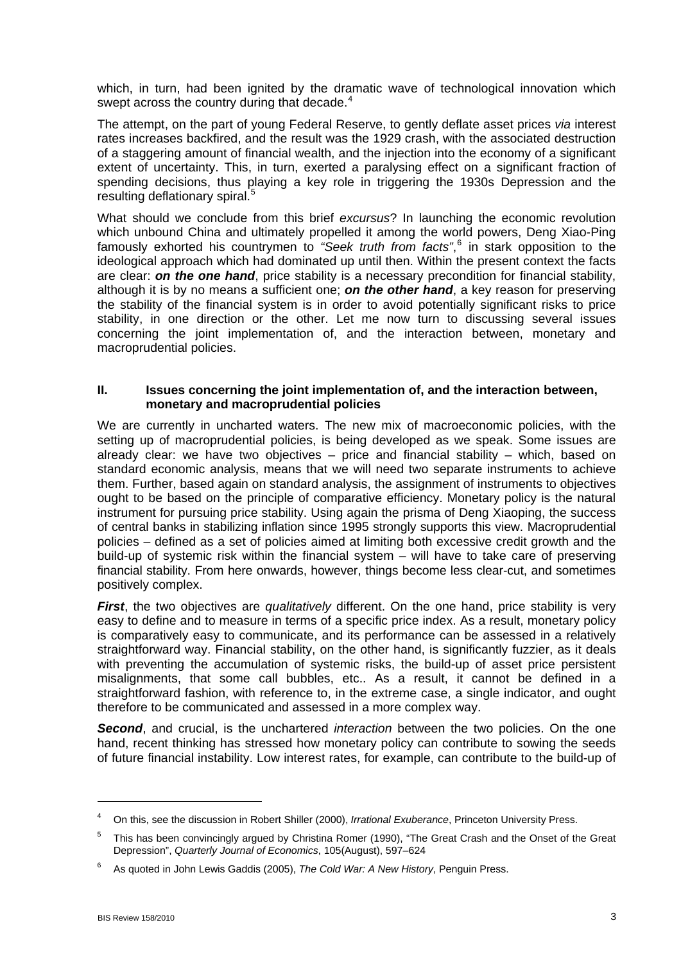which, in turn, had been ignited by the dramatic wave of technological innovation which swept across the country during that decade.<sup>[4](#page-2-0)</sup>

The attempt, on the part of young Federal Reserve, to gently deflate asset prices *via* interest rates increases backfired, and the result was the 1929 crash, with the associated destruction of a staggering amount of financial wealth, and the injection into the economy of a significant extent of uncertainty. This, in turn, exerted a paralysing effect on a significant fraction of spending decisions, thus playing a key role in triggering the 1930s Depression and the resulting deflationary spiral.<sup>[5](#page-2-1)</sup>

What should we conclude from this brief *excursus*? In launching the economic revolution which unbound China and ultimately propelled it among the world powers, Deng Xiao-Ping famously exhorted his countrymen to *"Seek truth from facts"*, [6](#page-2-2) in stark opposition to the ideological approach which had dominated up until then. Within the present context the facts are clear: *on the one hand*, price stability is a necessary precondition for financial stability, although it is by no means a sufficient one; *on the other hand*, a key reason for preserving the stability of the financial system is in order to avoid potentially significant risks to price stability, in one direction or the other. Let me now turn to discussing several issues concerning the joint implementation of, and the interaction between, monetary and macroprudential policies.

### **II. Issues concerning the joint implementation of, and the interaction between, monetary and macroprudential policies**

We are currently in uncharted waters. The new mix of macroeconomic policies, with the setting up of macroprudential policies, is being developed as we speak. Some issues are already clear: we have two objectives – price and financial stability – which, based on standard economic analysis, means that we will need two separate instruments to achieve them. Further, based again on standard analysis, the assignment of instruments to objectives ought to be based on the principle of comparative efficiency. Monetary policy is the natural instrument for pursuing price stability. Using again the prisma of Deng Xiaoping, the success of central banks in stabilizing inflation since 1995 strongly supports this view. Macroprudential policies – defined as a set of policies aimed at limiting both excessive credit growth and the build-up of systemic risk within the financial system – will have to take care of preserving financial stability. From here onwards, however, things become less clear-cut, and sometimes positively complex.

*First*, the two objectives are *qualitatively* different. On the one hand, price stability is very easy to define and to measure in terms of a specific price index. As a result, monetary policy is comparatively easy to communicate, and its performance can be assessed in a relatively straightforward way. Financial stability, on the other hand, is significantly fuzzier, as it deals with preventing the accumulation of systemic risks, the build-up of asset price persistent misalignments, that some call bubbles, etc.. As a result, it cannot be defined in a straightforward fashion, with reference to, in the extreme case, a single indicator, and ought therefore to be communicated and assessed in a more complex way.

*Second*, and crucial, is the unchartered *interaction* between the two policies. On the one hand, recent thinking has stressed how monetary policy can contribute to sowing the seeds of future financial instability. Low interest rates, for example, can contribute to the build-up of

<span id="page-2-0"></span><sup>4</sup> On this, see the discussion in Robert Shiller (2000), *Irrational Exuberance*, Princeton University Press.

<span id="page-2-1"></span><sup>5</sup> This has been convincingly argued by Christina Romer (1990), "The Great Crash and the Onset of the Great Depression", *Quarterly Journal of Economics*, 105(August), 597–624

<span id="page-2-2"></span><sup>6</sup> As quoted in John Lewis Gaddis (2005), *The Cold War: A New History*, Penguin Press.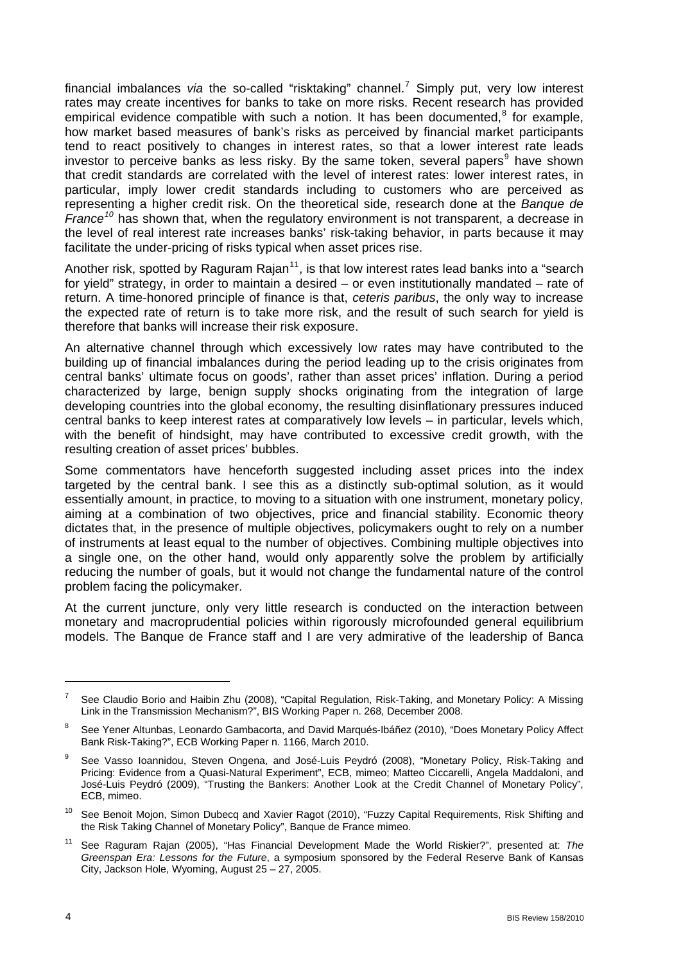financial imbalances *via* the so-called "risktaking" channel.[7](#page-3-0) Simply put, very low interest rates may create incentives for banks to take on more risks. Recent research has provided empirical evidence compatible with such a notion. It has been documented, $8$  for example, how market based measures of bank's risks as perceived by financial market participants tend to react positively to changes in interest rates, so that a lower interest rate leads investor to perceive banks as less risky. By the same token, several papers $9$  have shown that credit standards are correlated with the level of interest rates: lower interest rates, in particular, imply lower credit standards including to customers who are perceived as representing a higher credit risk. On the theoretical side, research done at the *Banque de France[10](#page-3-3)* has shown that, when the regulatory environment is not transparent, a decrease in the level of real interest rate increases banks' risk-taking behavior, in parts because it may facilitate the under-pricing of risks typical when asset prices rise.

Another risk, spotted by Raguram Rajan<sup>[11](#page-3-4)</sup>, is that low interest rates lead banks into a "search for yield" strategy, in order to maintain a desired – or even institutionally mandated – rate of return. A time-honored principle of finance is that, *ceteris paribus*, the only way to increase the expected rate of return is to take more risk, and the result of such search for yield is therefore that banks will increase their risk exposure.

An alternative channel through which excessively low rates may have contributed to the building up of financial imbalances during the period leading up to the crisis originates from central banks' ultimate focus on goods', rather than asset prices' inflation. During a period characterized by large, benign supply shocks originating from the integration of large developing countries into the global economy, the resulting disinflationary pressures induced central banks to keep interest rates at comparatively low levels – in particular, levels which, with the benefit of hindsight, may have contributed to excessive credit growth, with the resulting creation of asset prices' bubbles.

Some commentators have henceforth suggested including asset prices into the index targeted by the central bank. I see this as a distinctly sub-optimal solution, as it would essentially amount, in practice, to moving to a situation with one instrument, monetary policy, aiming at a combination of two objectives, price and financial stability. Economic theory dictates that, in the presence of multiple objectives, policymakers ought to rely on a number of instruments at least equal to the number of objectives. Combining multiple objectives into a single one, on the other hand, would only apparently solve the problem by artificially reducing the number of goals, but it would not change the fundamental nature of the control problem facing the policymaker.

At the current juncture, only very little research is conducted on the interaction between monetary and macroprudential policies within rigorously microfounded general equilibrium models. The Banque de France staff and I are very admirative of the leadership of Banca

 $\overline{a}$ 

<span id="page-3-0"></span><sup>7</sup> See Claudio Borio and Haibin Zhu (2008), "Capital Regulation, Risk-Taking, and Monetary Policy: A Missing Link in the Transmission Mechanism?", BIS Working Paper n. 268, December 2008.

<span id="page-3-1"></span><sup>8</sup> See Yener Altunbas, Leonardo Gambacorta, and David Marqués-Ibáñez (2010), "Does Monetary Policy Affect Bank Risk-Taking?", ECB Working Paper n. 1166, March 2010.

<span id="page-3-2"></span><sup>9</sup> See Vasso Ioannidou, Steven Ongena, and José-Luis Peydró (2008), "Monetary Policy, Risk-Taking and Pricing: Evidence from a Quasi-Natural Experiment", ECB, mimeo; Matteo Ciccarelli, Angela Maddaloni, and José-Luis Peydró (2009), "Trusting the Bankers: Another Look at the Credit Channel of Monetary Policy", ECB, mimeo.

<span id="page-3-3"></span><sup>&</sup>lt;sup>10</sup> See Benoit Mojon, Simon Dubecq and Xavier Ragot (2010), "Fuzzy Capital Requirements, Risk Shifting and the Risk Taking Channel of Monetary Policy", Banque de France mimeo.

<span id="page-3-4"></span><sup>11</sup> See Raguram Rajan (2005), "Has Financial Development Made the World Riskier?", presented at: *The Greenspan Era: Lessons for the Future*, a symposium sponsored by the Federal Reserve Bank of Kansas City, Jackson Hole, Wyoming, August 25 – 27, 2005.